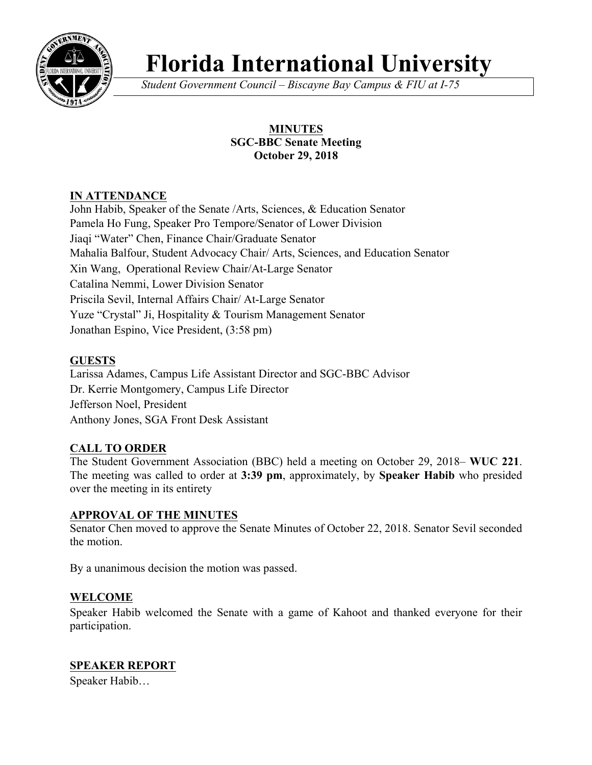

# **Florida International University**

*Student Government Council – Biscayne Bay Campus & FIU at I-75*

# **MINUTES SGC-BBC Senate Meeting October 29, 2018**

# **IN ATTENDANCE**

John Habib, Speaker of the Senate /Arts, Sciences, & Education Senator Pamela Ho Fung, Speaker Pro Tempore/Senator of Lower Division Jiaqi "Water" Chen, Finance Chair/Graduate Senator Mahalia Balfour, Student Advocacy Chair/ Arts, Sciences, and Education Senator Xin Wang, Operational Review Chair/At-Large Senator Catalina Nemmi, Lower Division Senator Priscila Sevil, Internal Affairs Chair/ At-Large Senator Yuze "Crystal" Ji, Hospitality & Tourism Management Senator Jonathan Espino, Vice President, (3:58 pm)

# **GUESTS**

Larissa Adames, Campus Life Assistant Director and SGC-BBC Advisor Dr. Kerrie Montgomery, Campus Life Director Jefferson Noel, President Anthony Jones, SGA Front Desk Assistant

# **CALL TO ORDER**

The Student Government Association (BBC) held a meeting on October 29, 2018– **WUC 221**. The meeting was called to order at **3:39 pm**, approximately, by **Speaker Habib** who presided over the meeting in its entirety

#### **APPROVAL OF THE MINUTES**

Senator Chen moved to approve the Senate Minutes of October 22, 2018. Senator Sevil seconded the motion.

By a unanimous decision the motion was passed.

# **WELCOME**

Speaker Habib welcomed the Senate with a game of Kahoot and thanked everyone for their participation.

# **SPEAKER REPORT**

Speaker Habib…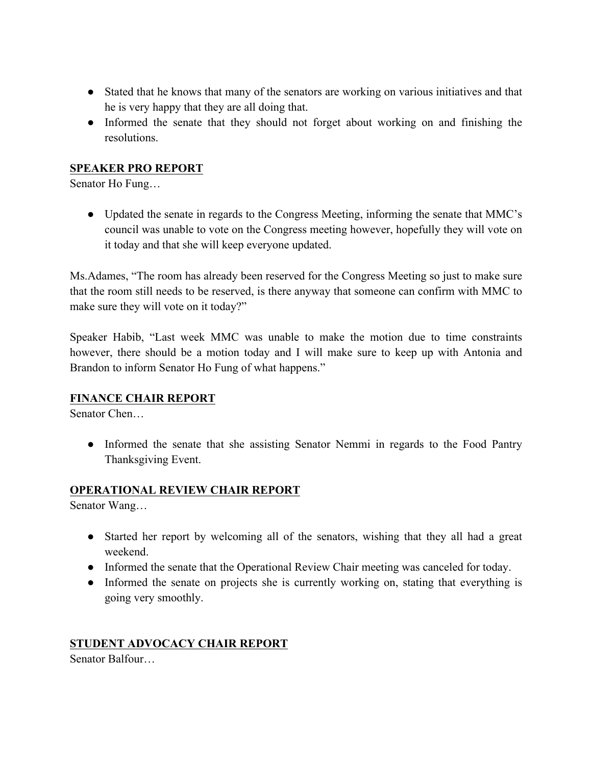- Stated that he knows that many of the senators are working on various initiatives and that he is very happy that they are all doing that.
- Informed the senate that they should not forget about working on and finishing the resolutions.

### **SPEAKER PRO REPORT**

Senator Ho Fung…

• Updated the senate in regards to the Congress Meeting, informing the senate that MMC's council was unable to vote on the Congress meeting however, hopefully they will vote on it today and that she will keep everyone updated.

Ms.Adames, "The room has already been reserved for the Congress Meeting so just to make sure that the room still needs to be reserved, is there anyway that someone can confirm with MMC to make sure they will vote on it today?"

Speaker Habib, "Last week MMC was unable to make the motion due to time constraints however, there should be a motion today and I will make sure to keep up with Antonia and Brandon to inform Senator Ho Fung of what happens."

#### **FINANCE CHAIR REPORT**

Senator Chen…

• Informed the senate that she assisting Senator Nemmi in regards to the Food Pantry Thanksgiving Event.

#### **OPERATIONAL REVIEW CHAIR REPORT**

Senator Wang…

- Started her report by welcoming all of the senators, wishing that they all had a great weekend.
- Informed the senate that the Operational Review Chair meeting was canceled for today.
- Informed the senate on projects she is currently working on, stating that everything is going very smoothly.

# **STUDENT ADVOCACY CHAIR REPORT**

Senator Balfour…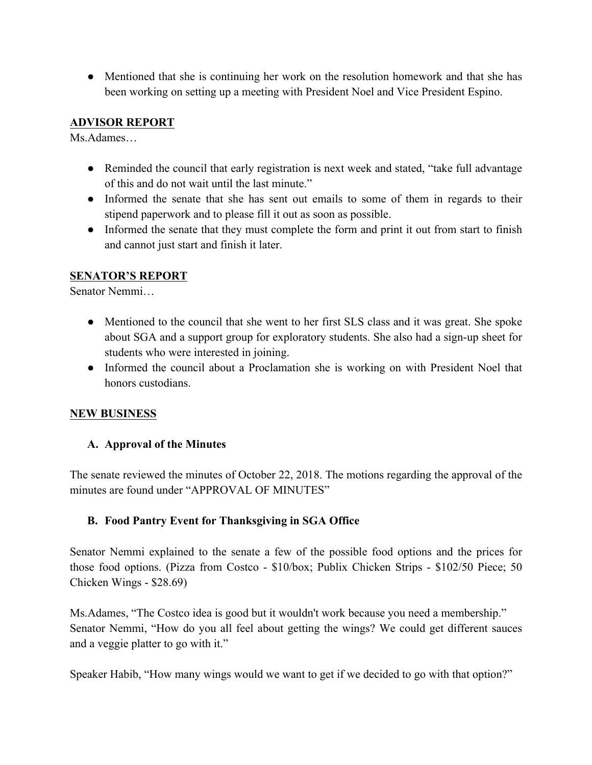• Mentioned that she is continuing her work on the resolution homework and that she has been working on setting up a meeting with President Noel and Vice President Espino.

### **ADVISOR REPORT**

Ms.Adames…

- Reminded the council that early registration is next week and stated, "take full advantage of this and do not wait until the last minute."
- Informed the senate that she has sent out emails to some of them in regards to their stipend paperwork and to please fill it out as soon as possible.
- Informed the senate that they must complete the form and print it out from start to finish and cannot just start and finish it later.

### **SENATOR'S REPORT**

Senator Nemmi…

- Mentioned to the council that she went to her first SLS class and it was great. She spoke about SGA and a support group for exploratory students. She also had a sign-up sheet for students who were interested in joining.
- Informed the council about a Proclamation she is working on with President Noel that honors custodians.

#### **NEW BUSINESS**

#### **A. Approval of the Minutes**

The senate reviewed the minutes of October 22, 2018. The motions regarding the approval of the minutes are found under "APPROVAL OF MINUTES"

#### **B. Food Pantry Event for Thanksgiving in SGA Office**

Senator Nemmi explained to the senate a few of the possible food options and the prices for those food options. (Pizza from Costco - \$10/box; Publix Chicken Strips - \$102/50 Piece; 50 Chicken Wings - \$28.69)

Ms.Adames, "The Costco idea is good but it wouldn't work because you need a membership." Senator Nemmi, "How do you all feel about getting the wings? We could get different sauces and a veggie platter to go with it."

Speaker Habib, "How many wings would we want to get if we decided to go with that option?"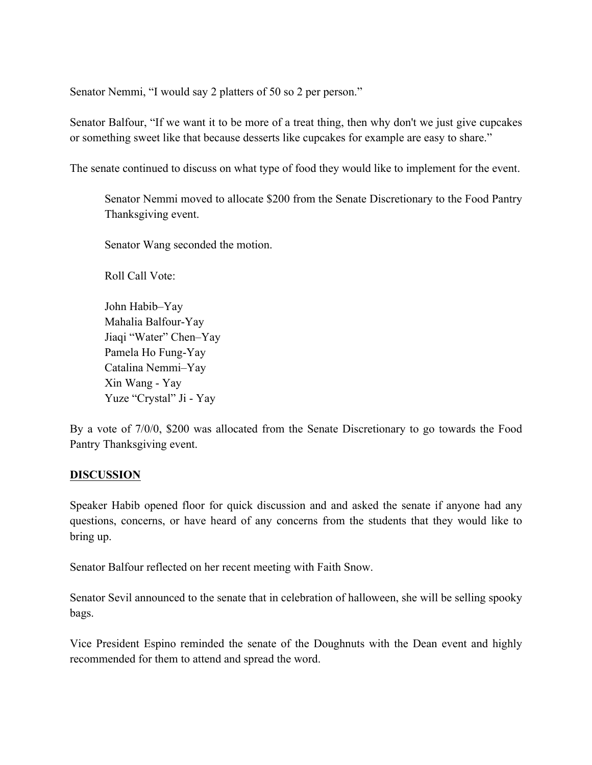Senator Nemmi, "I would say 2 platters of 50 so 2 per person."

Senator Balfour, "If we want it to be more of a treat thing, then why don't we just give cupcakes or something sweet like that because desserts like cupcakes for example are easy to share."

The senate continued to discuss on what type of food they would like to implement for the event.

Senator Nemmi moved to allocate \$200 from the Senate Discretionary to the Food Pantry Thanksgiving event.

Senator Wang seconded the motion.

Roll Call Vote:

John Habib–Yay Mahalia Balfour-Yay Jiaqi "Water" Chen–Yay Pamela Ho Fung-Yay Catalina Nemmi–Yay Xin Wang - Yay Yuze "Crystal" Ji - Yay

By a vote of 7/0/0, \$200 was allocated from the Senate Discretionary to go towards the Food Pantry Thanksgiving event.

#### **DISCUSSION**

Speaker Habib opened floor for quick discussion and and asked the senate if anyone had any questions, concerns, or have heard of any concerns from the students that they would like to bring up.

Senator Balfour reflected on her recent meeting with Faith Snow.

Senator Sevil announced to the senate that in celebration of halloween, she will be selling spooky bags.

Vice President Espino reminded the senate of the Doughnuts with the Dean event and highly recommended for them to attend and spread the word.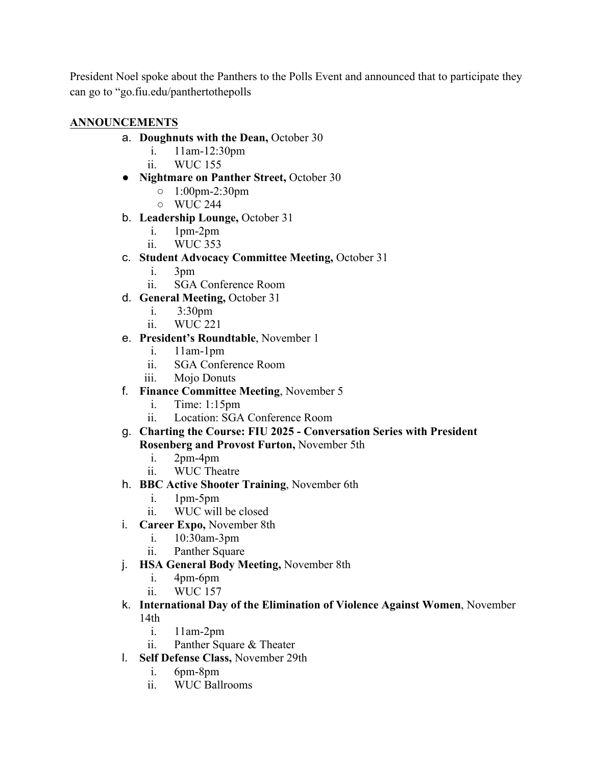President Noel spoke about the Panthers to the Polls Event and announced that to participate they can go to "go.fiu.edu/panthertothepolls

# **ANNOUNCEMENTS**

- a. **Doughnuts with the Dean,** October 30
	- i. 11am-12:30pm
	- ii. WUC 155
- **Nightmare on Panther Street,** October 30
	- 1:00pm-2:30pm
	- WUC 244
- b. **Leadership Lounge,** October 31
	- i. 1pm-2pm
	- ii. WUC 353
- c. **Student Advocacy Committee Meeting,** October 31
	- i. 3pm
	- ii. SGA Conference Room
- d. **General Meeting,** October 31
	- i. 3:30pm
	- ii. WUC 221

# e. **President's Roundtable**, November 1

- i. 11am-1pm
- ii. SGA Conference Room
- iii. Mojo Donuts
- f. **Finance Committee Meeting**, November 5
	- i. Time: 1:15pm
	- ii. Location: SGA Conference Room
- g. **Charting the Course: FIU 2025 - Conversation Series with President Rosenberg and Provost Furton,** November 5th
	- i. 2pm-4pm
	- ii. WUC Theatre
- h. **BBC Active Shooter Training**, November 6th
	- i. 1pm-5pm
	- ii. WUC will be closed
- i. **Career Expo,** November 8th
	- i. 10:30am-3pm
	- ii. Panther Square
- j. **HSA General Body Meeting,** November 8th
	- i. 4pm-6pm
	- ii. WUC 157
- k. **International Day of the Elimination of Violence Against Women**, November 14th
	- i. 11am-2pm
	- ii. Panther Square & Theater
- l. **Self Defense Class,** November 29th
	- i. 6pm-8pm
	- ii. WUC Ballrooms